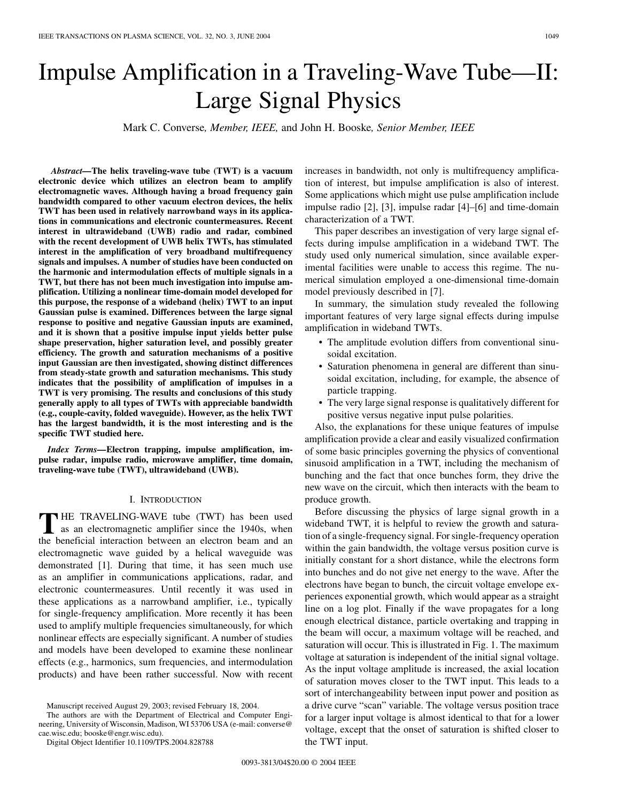# Impulse Amplification in a Traveling-Wave Tube—II: Large Signal Physics

Mark C. Converse*, Member, IEEE,* and John H. Booske*, Senior Member, IEEE*

*Abstract—***The helix traveling-wave tube (TWT) is a vacuum electronic device which utilizes an electron beam to amplify electromagnetic waves. Although having a broad frequency gain bandwidth compared to other vacuum electron devices, the helix TWT has been used in relatively narrowband ways in its applications in communications and electronic countermeasures. Recent interest in ultrawideband (UWB) radio and radar, combined with the recent development of UWB helix TWTs, has stimulated interest in the amplification of very broadband multifrequency signals and impulses. A number of studies have been conducted on the harmonic and intermodulation effects of multiple signals in a TWT, but there has not been much investigation into impulse amplification. Utilizing a nonlinear time-domain model developed for this purpose, the response of a wideband (helix) TWT to an input Gaussian pulse is examined. Differences between the large signal response to positive and negative Gaussian inputs are examined, and it is shown that a positive impulse input yields better pulse shape preservation, higher saturation level, and possibly greater efficiency. The growth and saturation mechanisms of a positive input Gaussian are then investigated, showing distinct differences from steady-state growth and saturation mechanisms. This study indicates that the possibility of amplification of impulses in a TWT is very promising. The results and conclusions of this study generally apply to all types of TWTs with appreciable bandwidth (e.g., couple-cavity, folded waveguide). However, as the helix TWT has the largest bandwidth, it is the most interesting and is the specific TWT studied here.**

*Index Terms—***Electron trapping, impulse amplification, impulse radar, impulse radio, microwave amplifier, time domain, traveling-wave tube (TWT), ultrawideband (UWB).**

# I. INTRODUCTION

**T** HE TRAVELING-WAVE tube (TWT) has been used as an electromagnetic amplifier since the 1940s, when the beneficial interaction between an electron beam and an electromagnetic wave guided by a helical waveguide was demonstrated [\[1](#page-7-0)]. During that time, it has seen much use as an amplifier in communications applications, radar, and electronic countermeasures. Until recently it was used in these applications as a narrowband amplifier, i.e., typically for single-frequency amplification. More recently it has been used to amplify multiple frequencies simultaneously, for which nonlinear effects are especially significant. A number of studies and models have been developed to examine these nonlinear effects (e.g., harmonics, sum frequencies, and intermodulation products) and have been rather successful. Now with recent

The authors are with the Department of Electrical and Computer Engineering, University of Wisconsin, Madison, WI 53706 USA (e-mail: converse@ cae.wisc.edu; booske@engr.wisc.edu).

Digital Object Identifier 10.1109/TPS.2004.828788

increases in bandwidth, not only is multifrequency amplification of interest, but impulse amplification is also of interest. Some applications which might use pulse amplification include impulse radio [[2\]](#page-7-0), [\[3](#page-7-0)], impulse radar [[4\]](#page-7-0)–[\[6](#page-7-0)] and time-domain characterization of a TWT.

This paper describes an investigation of very large signal effects during impulse amplification in a wideband TWT. The study used only numerical simulation, since available experimental facilities were unable to access this regime. The numerical simulation employed a one-dimensional time-domain model previously described in [\[7](#page-7-0)].

In summary, the simulation study revealed the following important features of very large signal effects during impulse amplification in wideband TWTs.

- The amplitude evolution differs from conventional sinusoidal excitation.
- Saturation phenomena in general are different than sinusoidal excitation, including, for example, the absence of particle trapping.
- The very large signal response is qualitatively different for positive versus negative input pulse polarities.

Also, the explanations for these unique features of impulse amplification provide a clear and easily visualized confirmation of some basic principles governing the physics of conventional sinusoid amplification in a TWT, including the mechanism of bunching and the fact that once bunches form, they drive the new wave on the circuit, which then interacts with the beam to produce growth.

Before discussing the physics of large signal growth in a wideband TWT, it is helpful to review the growth and saturation of a single-frequency signal. For single-frequency operation within the gain bandwidth, the voltage versus position curve is initially constant for a short distance, while the electrons form into bunches and do not give net energy to the wave. After the electrons have began to bunch, the circuit voltage envelope experiences exponential growth, which would appear as a straight line on a log plot. Finally if the wave propagates for a long enough electrical distance, particle overtaking and trapping in the beam will occur, a maximum voltage will be reached, and saturation will occur. This is illustrated in Fig. 1. The maximum voltage at saturation is independent of the initial signal voltage. As the input voltage amplitude is increased, the axial location of saturation moves closer to the TWT input. This leads to a sort of interchangeability between input power and position as a drive curve "scan" variable. The voltage versus position trace for a larger input voltage is almost identical to that for a lower voltage, except that the onset of saturation is shifted closer to the TWT input.

Manuscript received August 29, 2003; revised February 18, 2004.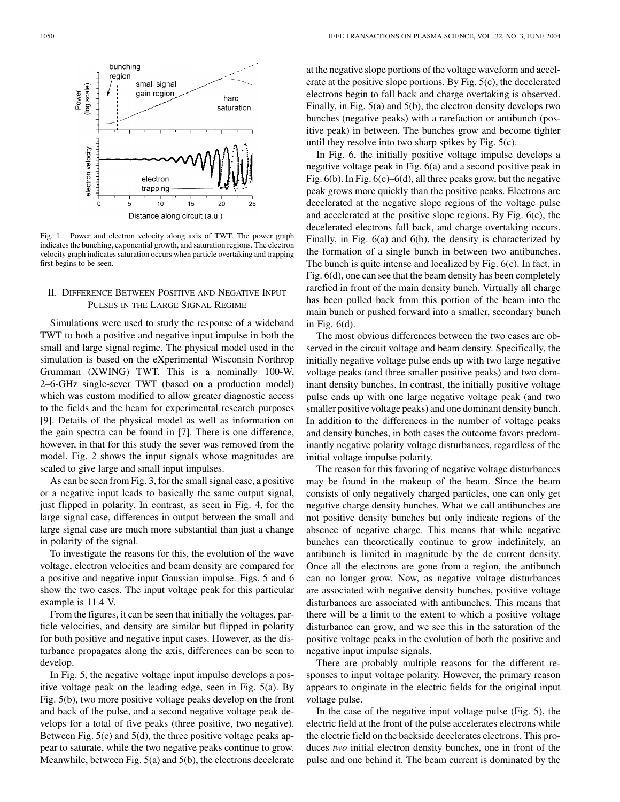

Fig. 1. Power and electron velocity along axis of TWT. The power graph indicates the bunching, exponential growth, and saturation regions. The electron velocity graph indicates saturation occurs when particle overtaking and trapping first begins to be seen.

# II. DIFFERENCE BETWEEN POSITIVE AND NEGATIVE INPUT PULSES IN THE LARGE SIGNAL REGIME

Simulations were used to study the response of a wideband TWT to both a positive and negative input impulse in both the small and large signal regime. The physical model used in the simulation is based on the eXperimental Wisconsin Northrop Grumman (XWING) TWT. This is a nominally 100-W, 2–6-GHz single-sever TWT (based on a production model) which was custom modified to allow greater diagnostic access to the fields and the beam for experimental research purposes [[9\]](#page-7-0). Details of the physical model as well as information on the gain spectra can be found in [\[7](#page-7-0)]. There is one difference, however, in that for this study the sever was removed from the model. Fig. 2 shows the input signals whose magnitudes are scaled to give large and small input impulses.

As can be seen from Fig. 3, for the small signal case, a positive or a negative input leads to basically the same output signal, just flipped in polarity. In contrast, as seen in Fig. 4, for the large signal case, differences in output between the small and large signal case are much more substantial than just a change in polarity of the signal.

To investigate the reasons for this, the evolution of the wave voltage, electron velocities and beam density are compared for a positive and negative input Gaussian impulse. Figs. 5 and 6 show the two cases. The input voltage peak for this particular example is 11.4 V.

From the figures, it can be seen that initially the voltages, particle velocities, and density are similar but flipped in polarity for both positive and negative input cases. However, as the disturbance propagates along the axis, differences can be seen to develop.

In Fig. 5, the negative voltage input impulse develops a positive voltage peak on the leading edge, seen in Fig. 5(a). By Fig. 5(b), two more positive voltage peaks develop on the front and back of the pulse, and a second negative voltage peak develops for a total of five peaks (three positive, two negative). Between Fig. 5(c) and 5(d), the three positive voltage peaks appear to saturate, while the two negative peaks continue to grow. Meanwhile, between Fig. 5(a) and 5(b), the electrons decelerate at the negative slope portions of the voltage waveform and accelerate at the positive slope portions. By Fig. 5(c), the decelerated electrons begin to fall back and charge overtaking is observed. Finally, in Fig. 5(a) and 5(b), the electron density develops two bunches (negative peaks) with a rarefaction or antibunch (positive peak) in between. The bunches grow and become tighter until they resolve into two sharp spikes by Fig. 5(c).

In Fig. 6, the initially positive voltage impulse develops a negative voltage peak in Fig. 6(a) and a second positive peak in Fig. 6(b). In Fig. 6(c)–6(d), all three peaks grow, but the negative peak grows more quickly than the positive peaks. Electrons are decelerated at the negative slope regions of the voltage pulse and accelerated at the positive slope regions. By Fig. 6(c), the decelerated electrons fall back, and charge overtaking occurs. Finally, in Fig. 6(a) and 6(b), the density is characterized by the formation of a single bunch in between two antibunches. The bunch is quite intense and localized by Fig. 6(c). In fact, in Fig. 6(d), one can see that the beam density has been completely rarefied in front of the main density bunch. Virtually all charge has been pulled back from this portion of the beam into the main bunch or pushed forward into a smaller, secondary bunch in Fig. 6(d).

The most obvious differences between the two cases are observed in the circuit voltage and beam density. Specifically, the initially negative voltage pulse ends up with two large negative voltage peaks (and three smaller positive peaks) and two dominant density bunches. In contrast, the initially positive voltage pulse ends up with one large negative voltage peak (and two smaller positive voltage peaks) and one dominant density bunch. In addition to the differences in the number of voltage peaks and density bunches, in both cases the outcome favors predominantly negative polarity voltage disturbances, regardless of the initial voltage impulse polarity.

The reason for this favoring of negative voltage disturbances may be found in the makeup of the beam. Since the beam consists of only negatively charged particles, one can only get negative charge density bunches. What we call antibunches are not positive density bunches but only indicate regions of the absence of negative charge. This means that while negative bunches can theoretically continue to grow indefinitely, an antibunch is limited in magnitude by the dc current density. Once all the electrons are gone from a region, the antibunch can no longer grow. Now, as negative voltage disturbances are associated with negative density bunches, positive voltage disturbances are associated with antibunches. This means that there will be a limit to the extent to which a positive voltage disturbance can grow, and we see this in the saturation of the positive voltage peaks in the evolution of both the positive and negative input impulse signals.

There are probably multiple reasons for the different responses to input voltage polarity. However, the primary reason appears to originate in the electric fields for the original input voltage pulse.

In the case of the negative input voltage pulse (Fig. 5), the electric field at the front of the pulse accelerates electrons while the electric field on the backside decelerates electrons. This produces *two* initial electron density bunches, one in front of the pulse and one behind it. The beam current is dominated by the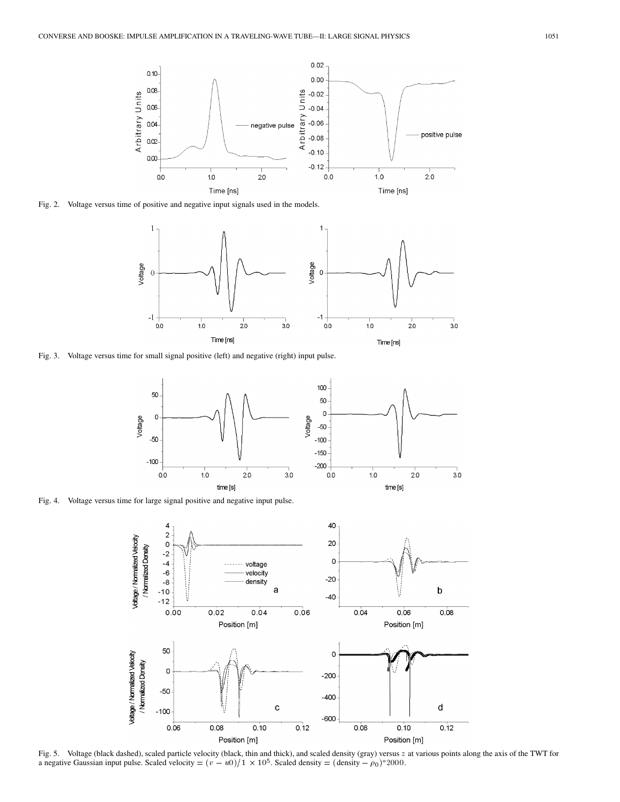

Fig. 2. Voltage versus time of positive and negative input signals used in the models.



Fig. 3. Voltage versus time for small signal positive (left) and negative (right) input pulse.



Fig. 4. Voltage versus time for large signal positive and negative input pulse.



Fig. 5. Voltage (black dashed), scaled particle velocity (black, thin and thick), and scaled density (gray) versus z at various points along the axis of the TWT for a negative Gaussian input pulse. Scaled velocity =  $(v - u0$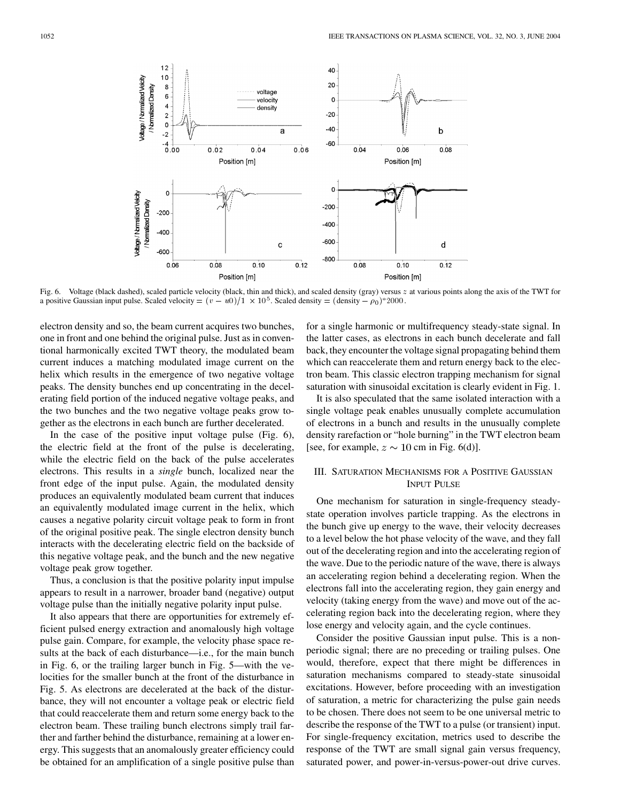

Fig. 6. Voltage (black dashed), scaled particle velocity (black, thin and thick), and scaled density (gray) versus z at various points along the axis of the TWT for a positive Gaussian input pulse. Scaled velocity =  $(v - u_0)/1 \times 10^5$ . Scaled density = (density -  $\rho_0$ )\*2000.

electron density and so, the beam current acquires two bunches, one in front and one behind the original pulse. Just as in conventional harmonically excited TWT theory, the modulated beam current induces a matching modulated image current on the helix which results in the emergence of two negative voltage peaks. The density bunches end up concentrating in the decelerating field portion of the induced negative voltage peaks, and the two bunches and the two negative voltage peaks grow together as the electrons in each bunch are further decelerated.

In the case of the positive input voltage pulse (Fig. 6), the electric field at the front of the pulse is decelerating, while the electric field on the back of the pulse accelerates electrons. This results in a *single* bunch, localized near the front edge of the input pulse. Again, the modulated density produces an equivalently modulated beam current that induces an equivalently modulated image current in the helix, which causes a negative polarity circuit voltage peak to form in front of the original positive peak. The single electron density bunch interacts with the decelerating electric field on the backside of this negative voltage peak, and the bunch and the new negative voltage peak grow together.

Thus, a conclusion is that the positive polarity input impulse appears to result in a narrower, broader band (negative) output voltage pulse than the initially negative polarity input pulse.

It also appears that there are opportunities for extremely efficient pulsed energy extraction and anomalously high voltage pulse gain. Compare, for example, the velocity phase space results at the back of each disturbance—i.e., for the main bunch in Fig. 6, or the trailing larger bunch in Fig. 5—with the velocities for the smaller bunch at the front of the disturbance in Fig. 5. As electrons are decelerated at the back of the disturbance, they will not encounter a voltage peak or electric field that could reaccelerate them and return some energy back to the electron beam. These trailing bunch electrons simply trail farther and farther behind the disturbance, remaining at a lower energy. This suggests that an anomalously greater efficiency could be obtained for an amplification of a single positive pulse than for a single harmonic or multifrequency steady-state signal. In the latter cases, as electrons in each bunch decelerate and fall back, they encounter the voltage signal propagating behind them which can reaccelerate them and return energy back to the electron beam. This classic electron trapping mechanism for signal saturation with sinusoidal excitation is clearly evident in Fig. 1.

It is also speculated that the same isolated interaction with a single voltage peak enables unusually complete accumulation of electrons in a bunch and results in the unusually complete density rarefaction or "hole burning" in the TWT electron beam [see, for example,  $z \sim 10$  cm in Fig. 6(d)].

# III. SATURATION MECHANISMS FOR A POSITIVE GAUSSIAN INPUT PULSE

One mechanism for saturation in single-frequency steadystate operation involves particle trapping. As the electrons in the bunch give up energy to the wave, their velocity decreases to a level below the hot phase velocity of the wave, and they fall out of the decelerating region and into the accelerating region of the wave. Due to the periodic nature of the wave, there is always an accelerating region behind a decelerating region. When the electrons fall into the accelerating region, they gain energy and velocity (taking energy from the wave) and move out of the accelerating region back into the decelerating region, where they lose energy and velocity again, and the cycle continues.

Consider the positive Gaussian input pulse. This is a nonperiodic signal; there are no preceding or trailing pulses. One would, therefore, expect that there might be differences in saturation mechanisms compared to steady-state sinusoidal excitations. However, before proceeding with an investigation of saturation, a metric for characterizing the pulse gain needs to be chosen. There does not seem to be one universal metric to describe the response of the TWT to a pulse (or transient) input. For single-frequency excitation, metrics used to describe the response of the TWT are small signal gain versus frequency, saturated power, and power-in-versus-power-out drive curves.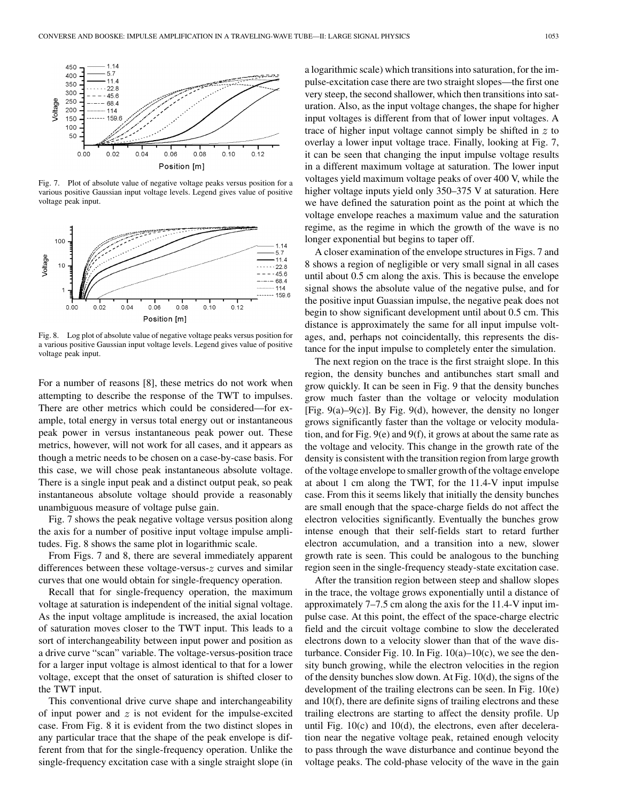

Fig. 7. Plot of absolute value of negative voltage peaks versus position for a various positive Gaussian input voltage levels. Legend gives value of positive voltage peak input.



Fig. 8. Log plot of absolute value of negative voltage peaks versus position for a various positive Gaussian input voltage levels. Legend gives value of positive voltage peak input.

For a number of reasons [\[8](#page-7-0)], these metrics do not work when attempting to describe the response of the TWT to impulses. There are other metrics which could be considered—for example, total energy in versus total energy out or instantaneous peak power in versus instantaneous peak power out. These metrics, however, will not work for all cases, and it appears as though a metric needs to be chosen on a case-by-case basis. For this case, we will chose peak instantaneous absolute voltage. There is a single input peak and a distinct output peak, so peak instantaneous absolute voltage should provide a reasonably unambiguous measure of voltage pulse gain.

Fig. 7 shows the peak negative voltage versus position along the axis for a number of positive input voltage impulse amplitudes. Fig. 8 shows the same plot in logarithmic scale.

From Figs. 7 and 8, there are several immediately apparent differences between these voltage-versus- $z$  curves and similar curves that one would obtain for single-frequency operation.

Recall that for single-frequency operation, the maximum voltage at saturation is independent of the initial signal voltage. As the input voltage amplitude is increased, the axial location of saturation moves closer to the TWT input. This leads to a sort of interchangeability between input power and position as a drive curve "scan" variable. The voltage-versus-position trace for a larger input voltage is almost identical to that for a lower voltage, except that the onset of saturation is shifted closer to the TWT input.

This conventional drive curve shape and interchangeability of input power and  $z$  is not evident for the impulse-excited case. From Fig. 8 it is evident from the two distinct slopes in any particular trace that the shape of the peak envelope is different from that for the single-frequency operation. Unlike the single-frequency excitation case with a single straight slope (in a logarithmic scale) which transitions into saturation, for the impulse-excitation case there are two straight slopes—the first one very steep, the second shallower, which then transitions into saturation. Also, as the input voltage changes, the shape for higher input voltages is different from that of lower input voltages. A trace of higher input voltage cannot simply be shifted in  $z$  to overlay a lower input voltage trace. Finally, looking at Fig. 7, it can be seen that changing the input impulse voltage results in a different maximum voltage at saturation. The lower input voltages yield maximum voltage peaks of over 400 V, while the higher voltage inputs yield only 350–375 V at saturation. Here we have defined the saturation point as the point at which the voltage envelope reaches a maximum value and the saturation regime, as the regime in which the growth of the wave is no longer exponential but begins to taper off.

A closer examination of the envelope structures in Figs. 7 and 8 shows a region of negligible or very small signal in all cases until about 0.5 cm along the axis. This is because the envelope signal shows the absolute value of the negative pulse, and for the positive input Guassian impulse, the negative peak does not begin to show significant development until about 0.5 cm. This distance is approximately the same for all input impulse voltages, and, perhaps not coincidentally, this represents the distance for the input impulse to completely enter the simulation.

The next region on the trace is the first straight slope. In this region, the density bunches and antibunches start small and grow quickly. It can be seen in Fig. 9 that the density bunches grow much faster than the voltage or velocity modulation [Fig. 9(a)–9(c)]. By Fig. 9(d), however, the density no longer grows significantly faster than the voltage or velocity modulation, and for Fig. 9(e) and 9(f), it grows at about the same rate as the voltage and velocity. This change in the growth rate of the density is consistent with the transition region from large growth of the voltage envelope to smaller growth of the voltage envelope at about 1 cm along the TWT, for the 11.4-V input impulse case. From this it seems likely that initially the density bunches are small enough that the space-charge fields do not affect the electron velocities significantly. Eventually the bunches grow intense enough that their self-fields start to retard further electron accumulation, and a transition into a new, slower growth rate is seen. This could be analogous to the bunching region seen in the single-frequency steady-state excitation case.

After the transition region between steep and shallow slopes in the trace, the voltage grows exponentially until a distance of approximately 7–7.5 cm along the axis for the 11.4-V input impulse case. At this point, the effect of the space-charge electric field and the circuit voltage combine to slow the decelerated electrons down to a velocity slower than that of the wave disturbance. Consider Fig. 10. In Fig.  $10(a)$ – $10(c)$ , we see the density bunch growing, while the electron velocities in the region of the density bunches slow down. At Fig. 10(d), the signs of the development of the trailing electrons can be seen. In Fig. 10(e) and 10(f), there are definite signs of trailing electrons and these trailing electrons are starting to affect the density profile. Up until Fig. 10(c) and 10(d), the electrons, even after deceleration near the negative voltage peak, retained enough velocity to pass through the wave disturbance and continue beyond the voltage peaks. The cold-phase velocity of the wave in the gain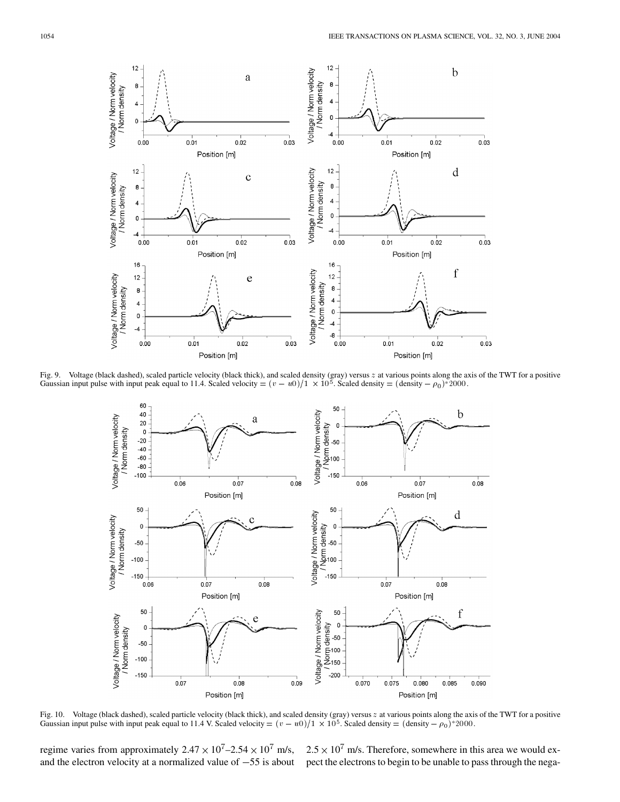

Fig. 9. Voltage (black dashed), scaled particle velocity (black thick), and scaled density (gray) versus z at various points along the axis of the TWT for a positive Gaussian input pulse with input peak equal to 11.4. Sca



Fig. 10. Voltage (black dashed), scaled particle velocity (black thick), and scaled density (gray) versus z at various points along the axis of the TWT for a positive Gaussian input pulse with input peak equal to 11.4 V. Scaled velocity =  $(v - u0)/1 \times 10^5$ . Scaled density =  $(\text{density} - \rho_0)^* 2000$ .

regime varies from approximately  $2.47 \times 10^{1} - 2.54 \times 10^{1}$  m/s,  $2.5 \times 10^{1}$  m/s. Therefore, somewhere in this area we would ex-

and the electron velocity at a normalized value of  $-55$  is about pect the electrons to begin to be unable to pass through the nega-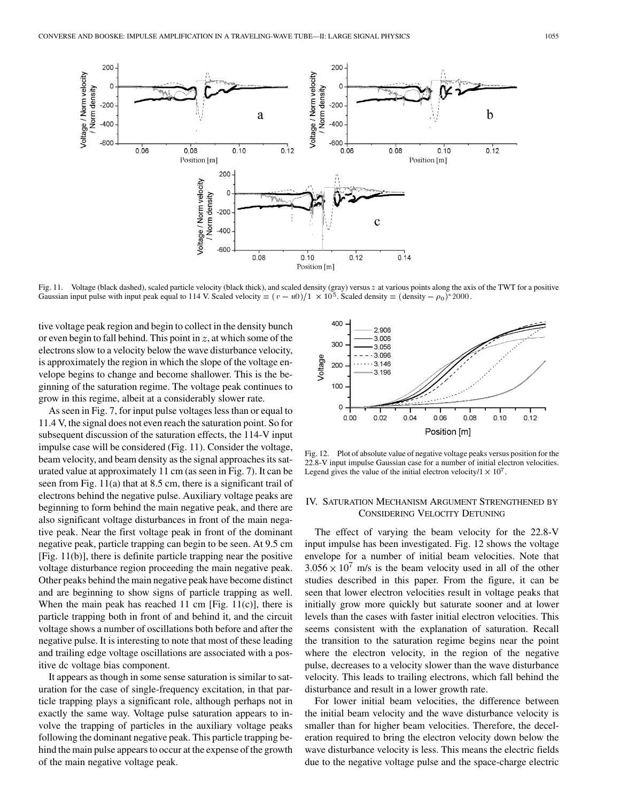

Fig. 11. Voltage (black dashed), scaled particle velocity (black thick), and scaled density (gray) versus  $z$  at various points along the axis of the TWT for a positive Gaussian input pulse with input peak equal to 114 V. Scaled velocity =  $(v - u0)/1 \times 10^5$ . Scaled density =  $(\text{density} - \rho_0)^* 2000$ .

tive voltage peak region and begin to collect in the density bunch or even begin to fall behind. This point in  $z$ , at which some of the electrons slow to a velocity below the wave disturbance velocity, is approximately the region in which the slope of the voltage envelope begins to change and become shallower. This is the beginning of the saturation regime. The voltage peak continues to grow in this regime, albeit at a considerably slower rate.

As seen in Fig. 7, for input pulse voltages less than or equal to 11.4 V, the signal does not even reach the saturation point. So for subsequent discussion of the saturation effects, the 114-V input impulse case will be considered (Fig. 11). Consider the voltage, beam velocity, and beam density as the signal approaches its saturated value at approximately 11 cm (as seen in Fig. 7). It can be seen from Fig. 11(a) that at 8.5 cm, there is a significant trail of electrons behind the negative pulse. Auxiliary voltage peaks are beginning to form behind the main negative peak, and there are also significant voltage disturbances in front of the main negative peak. Near the first voltage peak in front of the dominant negative peak, particle trapping can begin to be seen. At 9.5 cm [Fig. 11(b)], there is definite particle trapping near the positive voltage disturbance region proceeding the main negative peak. Other peaks behind the main negative peak have become distinct and are beginning to show signs of particle trapping as well. When the main peak has reached 11 cm [Fig.  $11(c)$ ], there is particle trapping both in front of and behind it, and the circuit voltage shows a number of oscillations both before and after the negative pulse. It is interesting to note that most of these leading and trailing edge voltage oscillations are associated with a positive dc voltage bias component.

It appears as though in some sense saturation is similar to saturation for the case of single-frequency excitation, in that particle trapping plays a significant role, although perhaps not in exactly the same way. Voltage pulse saturation appears to involve the trapping of particles in the auxiliary voltage peaks following the dominant negative peak. This particle trapping behind the main pulse appears to occur at the expense of the growth of the main negative voltage peak.



Fig. 12. Plot of absolute value of negative voltage peaks versus position for the 22.8-V input impulse Gaussian case for a number of initial electron velocities. Legend gives the value of the initial electron velocity/ $1 \times 10^7$ .

# IV. SATURATION MECHANISM ARGUMENT STRENGTHENED BY CONSIDERING VELOCITY DETUNING

The effect of varying the beam velocity for the 22.8-V input impulse has been investigated. Fig. 12 shows the voltage envelope for a number of initial beam velocities. Note that  $3.056 \times 10^{7}$  m/s is the beam velocity used in all of the other studies described in this paper. From the figure, it can be seen that lower electron velocities result in voltage peaks that initially grow more quickly but saturate sooner and at lower levels than the cases with faster initial electron velocities. This seems consistent with the explanation of saturation. Recall the transition to the saturation regime begins near the point where the electron velocity, in the region of the negative pulse, decreases to a velocity slower than the wave disturbance velocity. This leads to trailing electrons, which fall behind the disturbance and result in a lower growth rate.

For lower initial beam velocities, the difference between the initial beam velocity and the wave disturbance velocity is smaller than for higher beam velocities. Therefore, the deceleration required to bring the electron velocity down below the wave disturbance velocity is less. This means the electric fields due to the negative voltage pulse and the space-charge electric